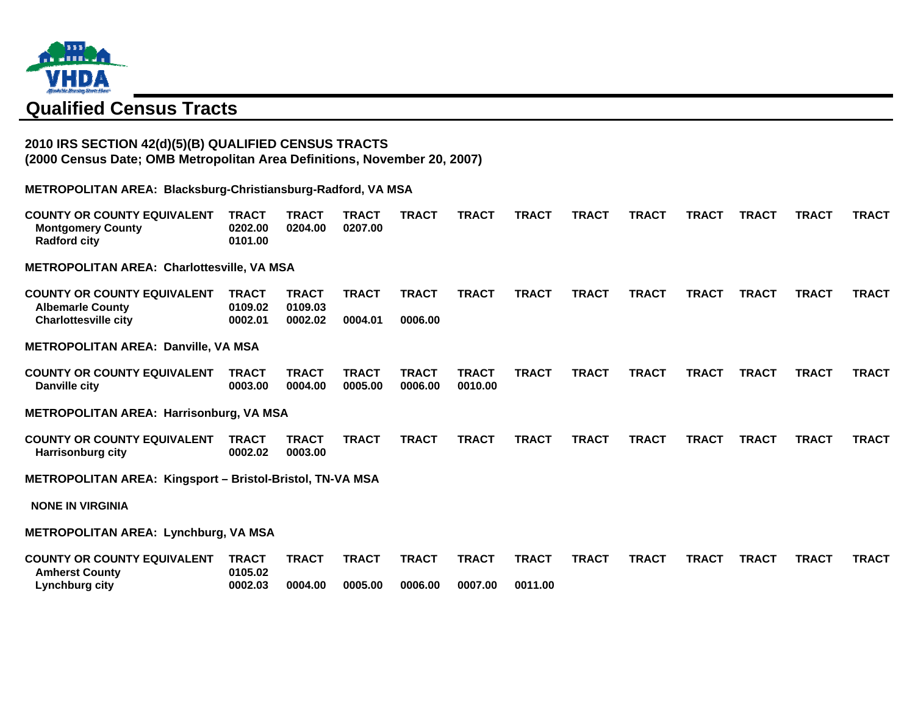

# **Qualified Census Tracts**

### **2010 IRS SECTION 42(d)(5)(B) QUALIFIED CENSUS TRACTS (2000 Census Date; OMB Metropolitan Area Definitions, November 20, 2007)**

**METROPOLITAN AREA: Blacksburg-Christiansburg-Radford, VA MSA**

| <b>COUNTY OR COUNTY EQUIVALENT</b><br><b>Montgomery County</b><br><b>Radford city</b> | <b>TRACT</b><br>0202.00<br>0101.00 | <b>TRACT</b><br>0204.00 | <b>TRACT</b><br>0207.00 | <b>TRACT</b>            | <b>TRACT</b>            | <b>TRACT</b> | <b>TRACT</b> | <b>TRACT</b> | <b>TRACT</b> | <b>TRACT</b> | <b>TRACT</b> | <b>TRACT</b> |
|---------------------------------------------------------------------------------------|------------------------------------|-------------------------|-------------------------|-------------------------|-------------------------|--------------|--------------|--------------|--------------|--------------|--------------|--------------|
| <b>METROPOLITAN AREA: Charlottesville, VA MSA</b>                                     |                                    |                         |                         |                         |                         |              |              |              |              |              |              |              |
| <b>COUNTY OR COUNTY EQUIVALENT</b><br><b>Albemarle County</b>                         | <b>TRACT</b><br>0109.02            | <b>TRACT</b><br>0109.03 | <b>TRACT</b>            | <b>TRACT</b>            | <b>TRACT</b>            | <b>TRACT</b> | <b>TRACT</b> | <b>TRACT</b> | <b>TRACT</b> | <b>TRACT</b> | <b>TRACT</b> | <b>TRACT</b> |
| <b>Charlottesville city</b>                                                           | 0002.01                            | 0002.02                 | 0004.01                 | 0006.00                 |                         |              |              |              |              |              |              |              |
| <b>METROPOLITAN AREA: Danville, VA MSA</b>                                            |                                    |                         |                         |                         |                         |              |              |              |              |              |              |              |
| <b>COUNTY OR COUNTY EQUIVALENT</b><br><b>Danville city</b>                            | <b>TRACT</b><br>0003.00            | <b>TRACT</b><br>0004.00 | <b>TRACT</b><br>0005.00 | <b>TRACT</b><br>0006.00 | <b>TRACT</b><br>0010.00 | <b>TRACT</b> | <b>TRACT</b> | <b>TRACT</b> | <b>TRACT</b> | <b>TRACT</b> | <b>TRACT</b> | <b>TRACT</b> |
| <b>METROPOLITAN AREA: Harrisonburg, VA MSA</b>                                        |                                    |                         |                         |                         |                         |              |              |              |              |              |              |              |
| <b>COUNTY OR COUNTY EQUIVALENT</b><br><b>Harrisonburg city</b>                        | <b>TRACT</b><br>0002.02            | <b>TRACT</b><br>0003.00 | <b>TRACT</b>            | <b>TRACT</b>            | <b>TRACT</b>            | <b>TRACT</b> | <b>TRACT</b> | <b>TRACT</b> | <b>TRACT</b> | <b>TRACT</b> | <b>TRACT</b> | <b>TRACT</b> |
| METROPOLITAN AREA: Kingsport - Bristol-Bristol, TN-VA MSA                             |                                    |                         |                         |                         |                         |              |              |              |              |              |              |              |
| <b>NONE IN VIRGINIA</b>                                                               |                                    |                         |                         |                         |                         |              |              |              |              |              |              |              |
| <b>METROPOLITAN AREA: Lynchburg, VA MSA</b>                                           |                                    |                         |                         |                         |                         |              |              |              |              |              |              |              |
| <b>COUNTY OR COUNTY EQUIVALENT</b><br><b>Amherst County</b>                           | <b>TRACT</b><br>0105.02            | <b>TRACT</b>            | <b>TRACT</b>            | <b>TRACT</b>            | <b>TRACT</b>            | <b>TRACT</b> | <b>TRACT</b> | <b>TRACT</b> | <b>TRACT</b> | <b>TRACT</b> | <b>TRACT</b> | <b>TRACT</b> |
| Lynchburg city                                                                        | 0002.03                            | 0004.00                 | 0005.00                 | 0006.00                 | 0007.00                 | 0011.00      |              |              |              |              |              |              |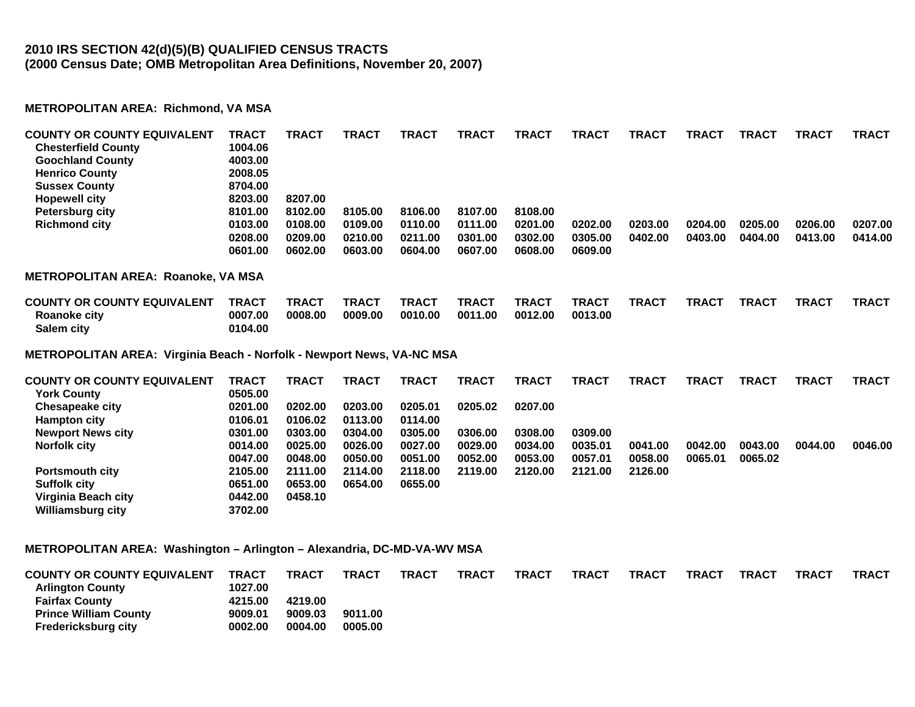## **2010 IRS SECTION 42(d)(5)(B) QUALIFIED CENSUS TRACTS (2000 Census Date; OMB Metropolitan Area Definitions, November 20, 2007)**

#### **METROPOLITAN AREA: Richmond, VA MSA**

**Williamsburg city 3702.00** 

| <b>COUNTY OR COUNTY EQUIVALENT</b><br><b>Chesterfield County</b><br><b>Goochland County</b><br><b>Henrico County</b><br><b>Sussex County</b> | <b>TRACT</b><br>1004.06<br>4003.00<br>2008.05<br>8704.00 | <b>TRACT</b> | <b>TRACT</b> | <b>TRACT</b> | <b>TRACT</b> | <b>TRACT</b> | <b>TRACT</b> | <b>TRACT</b> | <b>TRACT</b> | <b>TRACT</b> | <b>TRACT</b> | <b>TRACT</b> |
|----------------------------------------------------------------------------------------------------------------------------------------------|----------------------------------------------------------|--------------|--------------|--------------|--------------|--------------|--------------|--------------|--------------|--------------|--------------|--------------|
| <b>Hopewell city</b>                                                                                                                         | 8203.00                                                  | 8207.00      |              |              |              |              |              |              |              |              |              |              |
| <b>Petersburg city</b>                                                                                                                       | 8101.00                                                  | 8102.00      | 8105.00      | 8106.00      | 8107.00      | 8108.00      |              |              |              |              |              |              |
| <b>Richmond city</b>                                                                                                                         | 0103.00                                                  | 0108.00      | 0109.00      | 0110.00      | 0111.00      | 0201.00      | 0202.00      | 0203.00      | 0204.00      | 0205.00      | 0206.00      | 0207.00      |
|                                                                                                                                              | 0208.00                                                  | 0209.00      | 0210.00      | 0211.00      | 0301.00      | 0302.00      | 0305.00      | 0402.00      | 0403.00      | 0404.00      | 0413.00      | 0414.00      |
|                                                                                                                                              | 0601.00                                                  | 0602.00      | 0603.00      | 0604.00      | 0607.00      | 0608.00      | 0609.00      |              |              |              |              |              |
| <b>METROPOLITAN AREA: Roanoke, VA MSA</b>                                                                                                    |                                                          |              |              |              |              |              |              |              |              |              |              |              |
| <b>COUNTY OR COUNTY EQUIVALENT</b>                                                                                                           | <b>TRACT</b>                                             | <b>TRACT</b> | <b>TRACT</b> | <b>TRACT</b> | <b>TRACT</b> | <b>TRACT</b> | <b>TRACT</b> | <b>TRACT</b> | <b>TRACT</b> | <b>TRACT</b> | <b>TRACT</b> | <b>TRACT</b> |
| Roanoke city<br>Salem city                                                                                                                   | 0007.00<br>0104.00                                       | 0008.00      | 0009.00      | 0010.00      | 0011.00      | 0012.00      | 0013.00      |              |              |              |              |              |
| METROPOLITAN AREA: Virginia Beach - Norfolk - Newport News, VA-NC MSA                                                                        |                                                          |              |              |              |              |              |              |              |              |              |              |              |
| <b>COUNTY OR COUNTY EQUIVALENT</b>                                                                                                           | <b>TRACT</b>                                             | <b>TRACT</b> | <b>TRACT</b> | <b>TRACT</b> | <b>TRACT</b> | <b>TRACT</b> | <b>TRACT</b> | <b>TRACT</b> | <b>TRACT</b> | <b>TRACT</b> | <b>TRACT</b> | <b>TRACT</b> |
| <b>York County</b>                                                                                                                           | 0505.00                                                  |              |              |              |              |              |              |              |              |              |              |              |
| <b>Chesapeake city</b>                                                                                                                       | 0201.00                                                  | 0202.00      | 0203.00      | 0205.01      | 0205.02      | 0207.00      |              |              |              |              |              |              |
| <b>Hampton city</b>                                                                                                                          | 0106.01                                                  | 0106.02      | 0113.00      | 0114.00      |              |              |              |              |              |              |              |              |
| <b>Newport News city</b>                                                                                                                     | 0301.00                                                  | 0303.00      | 0304.00      | 0305.00      | 0306.00      | 0308.00      | 0309.00      |              |              |              |              |              |
| <b>Norfolk city</b>                                                                                                                          | 0014.00                                                  | 0025.00      | 0026.00      | 0027.00      | 0029.00      | 0034.00      | 0035.01      | 0041.00      | 0042.00      | 0043.00      | 0044.00      | 0046.00      |
|                                                                                                                                              | 0047.00                                                  | 0048.00      | 0050.00      | 0051.00      | 0052.00      | 0053.00      | 0057.01      | 0058.00      | 0065.01      | 0065.02      |              |              |
| <b>Portsmouth city</b>                                                                                                                       | 2105.00                                                  | 2111.00      | 2114.00      | 2118.00      | 2119.00      | 2120.00      | 2121.00      | 2126.00      |              |              |              |              |
| <b>Suffolk city</b>                                                                                                                          | 0651.00                                                  | 0653.00      | 0654.00      | 0655.00      |              |              |              |              |              |              |              |              |
| Virginia Beach city                                                                                                                          | 0442.00                                                  | 0458.10      |              |              |              |              |              |              |              |              |              |              |
| Williamsburg city                                                                                                                            | 3702.00                                                  |              |              |              |              |              |              |              |              |              |              |              |

#### **METROPOLITAN AREA: Washington – Arlington – Alexandria, DC-MD-VA-WV MSA**

| <b>COUNTY OR COUNTY EQUIVALENT</b> | TRACT   | TRACT   | <b>TRACT</b> | <b>TRACT</b> | <b>TRACT</b> | <b>TRACT</b> | <b>TRACT</b> | <b>TRACT</b> | <b>TRACT</b> | <b>TRACT</b> | TRACT | TRACT |
|------------------------------------|---------|---------|--------------|--------------|--------------|--------------|--------------|--------------|--------------|--------------|-------|-------|
| <b>Arlington County</b>            | 1027.00 |         |              |              |              |              |              |              |              |              |       |       |
| <b>Fairfax County</b>              | 4215.00 | 4219.00 |              |              |              |              |              |              |              |              |       |       |
| <b>Prince William County</b>       | 9009.01 | 9009.03 | 9011.00      |              |              |              |              |              |              |              |       |       |
| Fredericksburg city                | 0002.00 | 0004.00 | 0005.00      |              |              |              |              |              |              |              |       |       |